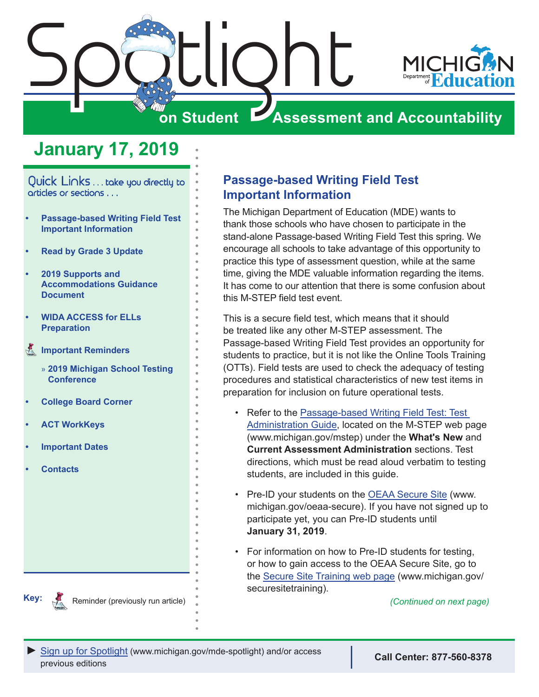

## **January 17, 2019**

<span id="page-0-0"></span>Quick Links . . . take you directly to articles or sections . . .

- **• Passage-based Writing Field Test Important Information**
- **• [Read by Grade 3 Update](#page-1-0)**
- **• [2019 Supports and](#page-1-0)  [Accommodations Guidance](#page-1-0)  [Document](#page-1-0)**
- **• [WIDA ACCESS for ELLs](#page-2-0)  [Preparation](#page-2-0)**
- **[Important Reminders](#page-3-0)** 
	- » **[2019 Michigan School Testing](#page-3-0)  [Conference](#page-3-0)**
- **• [College Board Corner](#page-4-0)**
- **• [ACT WorkKeys](#page-5-0)**
- **• [Important Dates](#page-6-0)**
- **• [Contacts](#page-8-0)**

#### **Passage-based Writing Field Test Important Information**

The Michigan Department of Education (MDE) wants to thank those schools who have chosen to participate in the stand-alone Passage-based Writing Field Test this spring. We encourage all schools to take advantage of this opportunity to practice this type of assessment question, while at the same time, giving the MDE valuable information regarding the items. It has come to our attention that there is some confusion about this M-STEP field test event.

This is a secure field test, which means that it should be treated like any other M-STEP assessment. The Passage-based Writing Field Test provides an opportunity for students to practice, but it is not like the Online Tools Training (OTTs). Field tests are used to check the adequacy of testing procedures and statistical characteristics of new test items in preparation for inclusion on future operational tests.

- Refer to the [Passage-based Writing Field Test: Test](https://www.michigan.gov/documents/mde/Passage-Based_Writing_Field_Test_TAM_639438_7.pdf)  [Administration Guide,](https://www.michigan.gov/documents/mde/Passage-Based_Writing_Field_Test_TAM_639438_7.pdf) located on the M-STEP web page (www.michigan.gov/mstep) under the **What's New** and **Current Assessment Administration** sections. Test directions, which must be read aloud verbatim to testing students, are included in this guide.
- Pre-ID your students on the [OEAA Secure Site](http://www.michigan.gov/oeaa-secure) (www. michigan.gov/oeaa-secure). If you have not signed up to participate yet, you can Pre-ID students until **January 31, 2019**.
- For information on how to Pre-ID students for testing, or how to gain access to the OEAA Secure Site, go to the [Secure Site Training web page](http://www.michigan.gov/securesitetraining) (www.michigan.gov/ securesitetraining).

**Key:** Reminder (previously run article) **Reminder (previously run article) Reminder** (Continued on next page)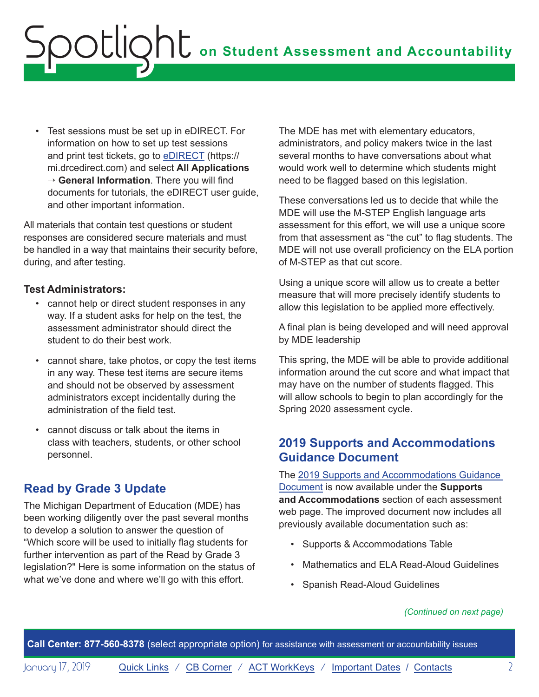<span id="page-1-0"></span>• Test sessions must be set up in eDIRECT. For information on how to set up test sessions and print test tickets, go to [eDIRECT](https://mi.drcedirect.com) (https:// mi.drcedirect.com) and select **All Applications** → **General Information**. There you will find documents for tutorials, the eDIRECT user guide, and other important information.

All materials that contain test questions or student responses are considered secure materials and must be handled in a way that maintains their security before, during, and after testing.

#### **Test Administrators:**

- cannot help or direct student responses in any way. If a student asks for help on the test, the assessment administrator should direct the student to do their best work.
- cannot share, take photos, or copy the test items in any way. These test items are secure items and should not be observed by assessment administrators except incidentally during the administration of the field test.
- cannot discuss or talk about the items in class with teachers, students, or other school personnel.

### **Read by Grade 3 Update**

The Michigan Department of Education (MDE) has been working diligently over the past several months to develop a solution to answer the question of "Which score will be used to initially flag students for further intervention as part of the Read by Grade 3 legislation?" Here is some information on the status of what we've done and where we'll go with this effort.

The MDE has met with elementary educators, administrators, and policy makers twice in the last several months to have conversations about what would work well to determine which students might need to be flagged based on this legislation.

These conversations led us to decide that while the MDE will use the M-STEP English language arts assessment for this effort, we will use a unique score from that assessment as "the cut" to flag students. The MDE will not use overall proficiency on the ELA portion of M-STEP as that cut score.

Using a unique score will allow us to create a better measure that will more precisely identify students to allow this legislation to be applied more effectively.

A final plan is being developed and will need approval by MDE leadership

This spring, the MDE will be able to provide additional information around the cut score and what impact that may have on the number of students flagged. This will allow schools to begin to plan accordingly for the Spring 2020 assessment cycle.

## **2019 Supports and Accommodations Guidance Document**

The [2019 Supports and Accommodations Guidance](https://www.michigan.gov/documents/mde/Michigan_Accommodations_Manual.final_480016_7.pdf)  [Document](https://www.michigan.gov/documents/mde/Michigan_Accommodations_Manual.final_480016_7.pdf) is now available under the **Supports and Accommodations** section of each assessment web page. The improved document now includes all previously available documentation such as:

- Supports & Accommodations Table
- Mathematics and ELA Read-Aloud Guidelines
- Spanish Read-Aloud Guidelines

#### *(Continued on next page)*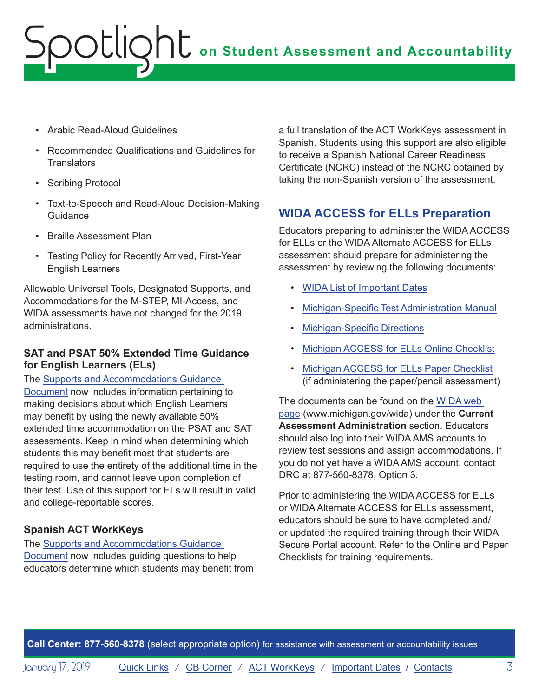- <span id="page-2-0"></span>• Arabic Read-Aloud Guidelines
- Recommended Qualifications and Guidelines for **Translators**
- Scribing Protocol
- Text-to-Speech and Read-Aloud Decision-Making Guidance
- Braille Assessment Plan
- Testing Policy for Recently Arrived, First-Year English Learners

Allowable Universal Tools, Designated Supports, and Accommodations for the M-STEP, MI-Access, and WIDA assessments have not changed for the 2019 administrations.

#### **SAT and PSAT 50% Extended Time Guidance for English Learners (ELs)**

The [Supports and Accommodations Guidance](https://www.michigan.gov/documents/mde/Michigan_Accommodations_Manual.final_480016_7.pdf)  [Document](https://www.michigan.gov/documents/mde/Michigan_Accommodations_Manual.final_480016_7.pdf) now includes information pertaining to making decisions about which English Learners may benefit by using the newly available 50% extended time accommodation on the PSAT and SAT assessments. Keep in mind when determining which students this may benefit most that students are required to use the entirety of the additional time in the testing room, and cannot leave upon completion of their test. Use of this support for ELs will result in valid and college-reportable scores.

### **Spanish ACT WorkKeys**

The [Supports and Accommodations Guidance](https://www.michigan.gov/documents/mde/Michigan_Accommodations_Manual.final_480016_7.pdf)  [Document](https://www.michigan.gov/documents/mde/Michigan_Accommodations_Manual.final_480016_7.pdf) now includes guiding questions to help educators determine which students may benefit from a full translation of the ACT WorkKeys assessment in Spanish. Students using this support are also eligible to receive a Spanish National Career Readiness Certificate (NCRC) instead of the NCRC obtained by taking the non-Spanish version of the assessment.

## **WIDA ACCESS for ELLs Preparation**

Educators preparing to administer the WIDA ACCESS for ELLs or the WIDA Alternate ACCESS for ELLs assessment should prepare for administering the assessment by reviewing the following documents:

- [WIDA List of Important Dates](https://www.michigan.gov/documents/mde/WIDA_List_of_Important_Dates_634791_7.pdf)
- [Michigan-Specific Test Administration Manual](https://www.michigan.gov/documents/mde/WIDA_Michigan_Specific_TAM_635431_7.pdf)
- [Michigan-Specific Directions](https://wida.wisc.edu/sites/default/files/state-specific-directions/MI-State-Specific-Directions.pdf)
- [Michigan ACCESS for ELLs Online Checklist](https://wida.wisc.edu/sites/default/files/checklists/MI-online-checklist.pdf)
- [Michigan ACCESS for ELLs Paper Checklist](https://wida.wisc.edu/sites/default/files/checklists/MI-paper-checklist.pdf) (if administering the paper/pencil assessment)

The documents can be found on the [WIDA web](www.michigan.gov/wida)  [page](www.michigan.gov/wida) (www.michigan.gov/wida) under the **Current Assessment Administration** section. Educators should also log into their WIDA AMS accounts to review test sessions and assign accommodations. If you do not yet have a WIDA AMS account, contact DRC at 877-560-8378, Option 3.

Prior to administering the WIDA ACCESS for ELLs or WIDA Alternate ACCESS for ELLs assessment, educators should be sure to have completed and/ or updated the required training through their WIDA Secure Portal account. Refer to the Online and Paper Checklists for training requirements.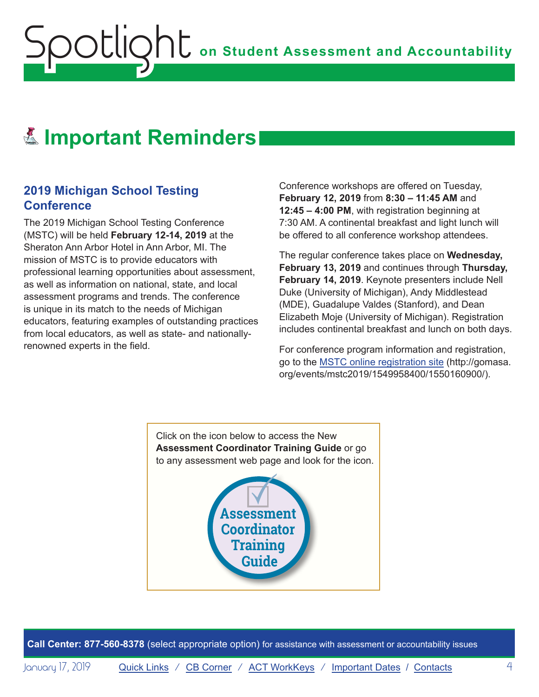## <span id="page-3-0"></span>**E. Important Reminders**

#### **2019 Michigan School Testing Conference**

The 2019 Michigan School Testing Conference (MSTC) will be held **February 12-14, 2019** at the Sheraton Ann Arbor Hotel in Ann Arbor, MI. The mission of MSTC is to provide educators with professional learning opportunities about assessment, as well as information on national, state, and local assessment programs and trends. The conference is unique in its match to the needs of Michigan educators, featuring examples of outstanding practices from local educators, as well as state- and nationallyrenowned experts in the field.

Conference workshops are offered on Tuesday, **February 12, 2019** from **8:30 – 11:45 AM** and **12:45 – 4:00 PM**, with registration beginning at 7:30 AM. A continental breakfast and light lunch will be offered to all conference workshop attendees.

The regular conference takes place on **Wednesday, February 13, 2019** and continues through **Thursday, February 14, 2019**. Keynote presenters include Nell Duke (University of Michigan), Andy Middlestead (MDE), Guadalupe Valdes (Stanford), and Dean Elizabeth Moje (University of Michigan). Registration includes continental breakfast and lunch on both days.

For conference program information and registration, go to the [MSTC online registration site](http://gomasa.org/events/mstc2019/1549958400/1550160900/) (http://gomasa. org/events/mstc2019/1549958400/1550160900/).

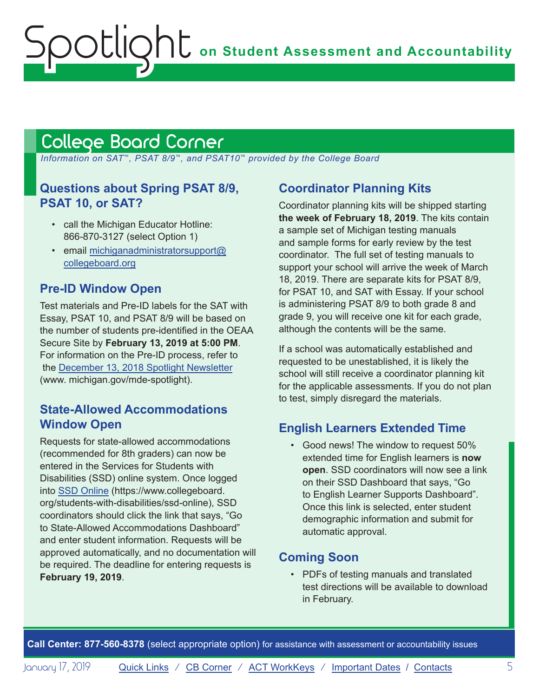## <span id="page-4-1"></span><span id="page-4-0"></span>College Board Corner

 *Information on SAT*™*, PSAT 8/9*™*, and PSAT10*™ *provided by the College Board*

## **Questions about Spring PSAT 8/9, PSAT 10, or SAT?**

- call the Michigan Educator Hotline: 866-870-3127 (select Option 1)
- email [michiganadministratorsupport@](mailto:michiganadministratorsupport%40collegeboard.org?subject=) [collegeboard.org](mailto:michiganadministratorsupport%40collegeboard.org?subject=)

## **Pre-ID Window Open**

Test materials and Pre-ID labels for the SAT with Essay, PSAT 10, and PSAT 8/9 will be based on the number of students pre-identified in the OEAA Secure Site by **February 13, 2019 at 5:00 PM**. For information on the Pre-ID process, refer to the [December 13, 2018 Spotlight Newsletter](https://www.michigan.gov/documents/mde/Spotlight_12-13-18_640839_7.pdf) (www. michigan.gov/mde-spotlight).

## **State-Allowed Accommodations Window Open**

Requests for state-allowed accommodations (recommended for 8th graders) can now be entered in the Services for Students with Disabilities (SSD) online system. Once logged into [SSD Online](https://www.collegeboard.org/students-with-disabilities/ssd-online) (https://www.collegeboard. org/students-with-disabilities/ssd-online), SSD coordinators should click the link that says, "Go to State-Allowed Accommodations Dashboard" and enter student information. Requests will be approved automatically, and no documentation will be required. The deadline for entering requests is **February 19, 2019**.

## **Coordinator Planning Kits**

Coordinator planning kits will be shipped starting **the week of February 18, 2019**. The kits contain a sample set of Michigan testing manuals and sample forms for early review by the test coordinator. The full set of testing manuals to support your school will arrive the week of March 18, 2019. There are separate kits for PSAT 8/9, for PSAT 10, and SAT with Essay. If your school is administering PSAT 8/9 to both grade 8 and grade 9, you will receive one kit for each grade, although the contents will be the same.

If a school was automatically established and requested to be unestablished, it is likely the school will still receive a coordinator planning kit for the applicable assessments. If you do not plan to test, simply disregard the materials.

## **English Learners Extended Time**

• Good news! The window to request 50% extended time for English learners is **now open**. SSD coordinators will now see a link on their SSD Dashboard that says, "Go to English Learner Supports Dashboard". Once this link is selected, enter student demographic information and submit for automatic approval.

## **Coming Soon**

• PDFs of testing manuals and translated test directions will be available to download in February.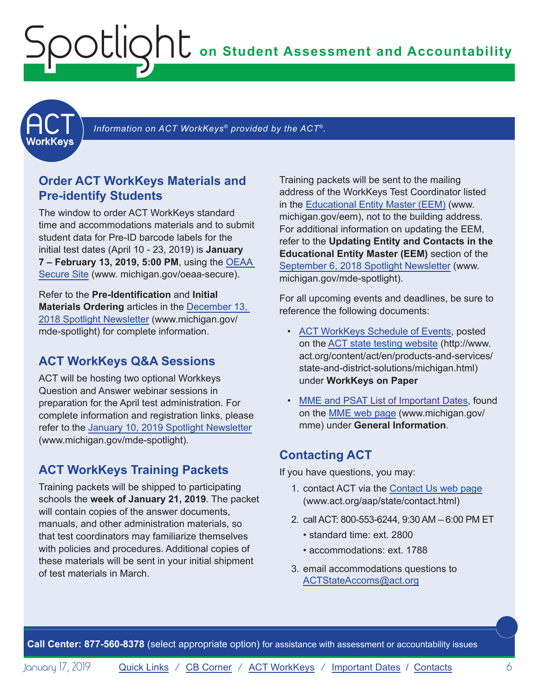<span id="page-5-1"></span><span id="page-5-0"></span>**ACT** 

Information on ACT WorkKeys<sup>®</sup> provided by the ACT<sup>®</sup>.

### **Order ACT WorkKeys Materials and Pre-identify Students**

The window to order ACT WorkKeys standard time and accommodations materials and to submit student data for Pre-ID barcode labels for the initial test dates (April 10 - 23, 2019) is **January 7 – February 13, 2019, 5:00 PM**, using the [OEAA](http://www.michigan.gov/oeaa-secure)  [Secure Site](http://www.michigan.gov/oeaa-secure) (www. michigan.gov/oeaa-secure).

Refer to the **Pre-Identification** and **Initial Materials Ordering** articles in the [December 13,](https://www.michigan.gov/documents/mde/Spotlight_12-13-18_640839_7.pdf)  [2018 Spotlight Newsletter](https://www.michigan.gov/documents/mde/Spotlight_12-13-18_640839_7.pdf) (www.michigan.gov/ mde-spotlight) for complete information.

#### **ACT WorkKeys Q&A Sessions**

ACT will be hosting two optional Workkeys Question and Answer webinar sessions in preparation for the April test administration. For complete information and registration links, please refer to the [January 10, 2019 Spotlight Newsletter](https://www.michigan.gov/documents/mde/January_10_2019_Spotlight_643325_7.pdf) (www.michigan.gov/mde-spotlight).

#### **ACT WorkKeys Training Packets**

Training packets will be shipped to participating schools the **week of January 21, 2019**. The packet will contain copies of the answer documents, manuals, and other administration materials, so that test coordinators may familiarize themselves with policies and procedures. Additional copies of these materials will be sent in your initial shipment of test materials in March.

Training packets will be sent to the mailing address of the WorkKeys Test Coordinator listed in the [Educational Entity Master \(EEM\)](www.michigan.gov/EEM) (www. michigan.gov/eem), not to the building address. For additional information on updating the EEM, refer to the **Updating Entity and Contacts in the Educational Entity Master (EEM)** section of the [September 6, 2018 Spotlight Newsletter](https://www.michigan.gov/documents/mde/Spotlight_9-6-18_631964_7.pdf) (www. michigan.gov/mde-spotlight).

For all upcoming events and deadlines, be sure to reference the following documents:

- [ACT WorkKeys Schedule of Events,](http://www.act.org/content/dam/act/unsecured/documents/ScheduleofEventsWorkKeys-MI.pdf) posted on the [ACT state testing website](http://www.act.org/content/act/en/products-and-services/state-and-district-solutions/michigan.html) (http://www. act.org/content/act/en/products-and-services/ state-and-district-solutions/michigan.html) under **WorkKeys on Paper**
- [MME and PSAT List of Important Dates,](https://www.michigan.gov/documents/mde/MME_List_of_Important_Dates_634790_7.pdf) found on the [MME web page](www.michigan.gov/mme) (www.michigan.gov/ mme) under **General Information**.

#### **Contacting ACT**

If you have questions, you may:

- 1. contact ACT via the [Contact Us web page](http://www.act.org/aap/state/contact.html) [\(www.act.org/aap/state/contact.html\)](www.act.org/aap/state/contact.html)
- 2. call ACT: 800-553-6244, 9:30 AM 6:00 PM ET
	- standard time: ext. 2800
	- accommodations: ext. 1788
- 3. email accommodations questions to [ACTStateAccoms@act.org](mailto:ACTStateAccoms%40act.org?subject=)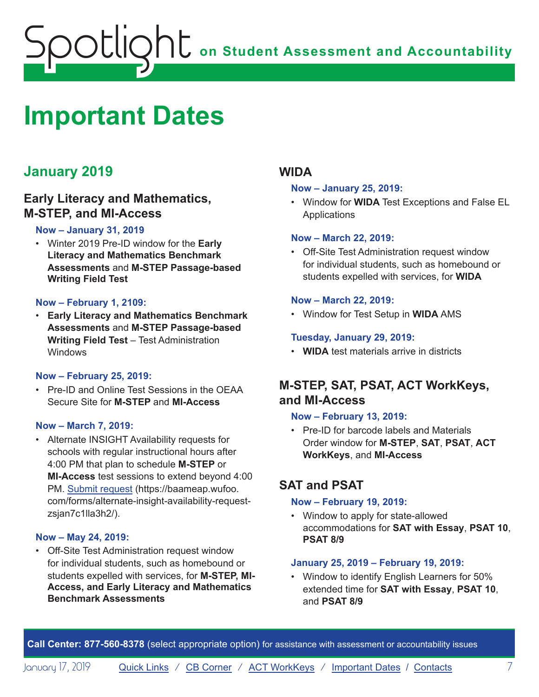## <span id="page-6-1"></span><span id="page-6-0"></span>**Important Dates**

## **January 2019**

### **Early Literacy and Mathematics, M-STEP, and MI-Access**

#### **Now – January 31, 2019**

• Winter 2019 Pre-ID window for the **Early Literacy and Mathematics Benchmark Assessments** and **M-STEP Passage-based Writing Field Test**

#### **Now – February 1, 2109:**

• **Early Literacy and Mathematics Benchmark Assessments** and **M-STEP Passage-based Writing Field Test** – Test Administration Windows

#### **Now – February 25, 2019:**

• Pre-ID and Online Test Sessions in the OEAA Secure Site for **M-STEP** and **MI-Access**

#### **Now – March 7, 2019:**

• Alternate INSIGHT Availability requests for schools with regular instructional hours after 4:00 PM that plan to schedule **M-STEP** or **MI-Access** test sessions to extend beyond 4:00 PM. [Submit request](https://baameap.wufoo.com/forms/alternate-insight-availability-request-zsjan7c1lla3h2/) (https://baameap.wufoo. com/forms/alternate-insight-availability-requestzsjan7c1lla3h2/).

#### **Now – May 24, 2019:**

• Off-Site Test Administration request window for individual students, such as homebound or students expelled with services, for **M-STEP, MI-Access, and Early Literacy and Mathematics Benchmark Assessments**

### **WIDA**

#### **Now – January 25, 2019:**

• Window for **WIDA** Test Exceptions and False EL **Applications** 

#### **Now – March 22, 2019:**

• Off-Site Test Administration request window for individual students, such as homebound or students expelled with services, for **WIDA**

#### **Now – March 22, 2019:**

• Window for Test Setup in **WIDA** AMS

#### **Tuesday, January 29, 2019:**

• **WIDA** test materials arrive in districts

## **M-STEP, SAT, PSAT, ACT WorkKeys, and MI-Access**

#### **Now – February 13, 2019:**

• Pre-ID for barcode labels and Materials Order window for **M-STEP**, **SAT**, **PSAT**, **ACT WorkKeys**, and **MI-Access**

## **SAT and PSAT**

#### **Now – February 19, 2019:**

• Window to apply for state-allowed accommodations for **SAT with Essay**, **PSAT 10**, **PSAT 8/9**

#### **January 25, 2019 – February 19, 2019:**

• Window to identify English Learners for 50% extended time for **SAT with Essay**, **PSAT 10**, and **PSAT 8/9**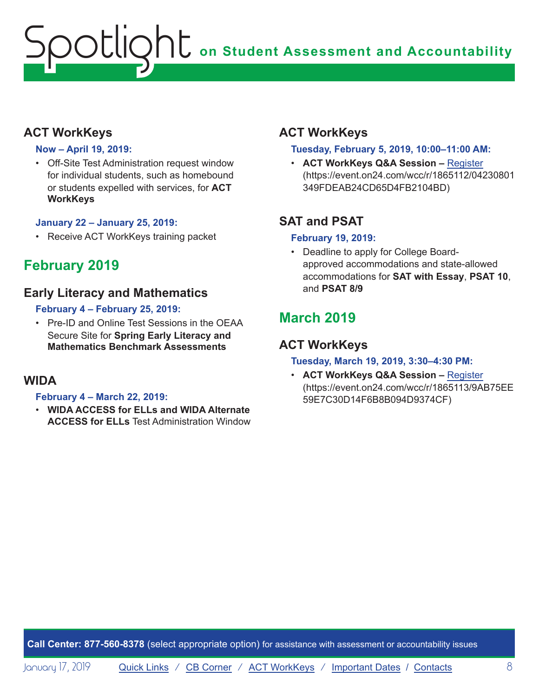## **ACT WorkKeys**

#### **Now – April 19, 2019:**

• Off-Site Test Administration request window for individual students, such as homebound or students expelled with services, for **ACT WorkKeys**

#### **January 22 – January 25, 2019:**

• Receive ACT WorkKeys training packet

## **February 2019**

### **Early Literacy and Mathematics**

#### **February 4 – February 25, 2019:**

• Pre-ID and Online Test Sessions in the OEAA Secure Site for **Spring Early Literacy and Mathematics Benchmark Assessments**

#### **WIDA**

#### **February 4 – March 22, 2019:**

• **WIDA ACCESS for ELLs and WIDA Alternate ACCESS for ELLs** Test Administration Window

## **ACT WorkKeys**

#### **Tuesday, February 5, 2019, 10:00–11:00 AM:**

• **ACT WorkKeys Q&A Session –** [Register](https://event.on24.com/wcc/r/1865112/04230801349FDEAB24CD65D4FB2104BD) (https://event.on24.com/wcc/r/1865112/04230801 349FDEAB24CD65D4FB2104BD)

## **SAT and PSAT**

#### **February 19, 2019:**

• Deadline to apply for College Boardapproved accommodations and state-allowed accommodations for **SAT with Essay**, **PSAT 10**, and **PSAT 8/9**

## **March 2019**

## **ACT WorkKeys**

#### **Tuesday, March 19, 2019, 3:30–4:30 PM:**

• **ACT WorkKeys Q&A Session –** [Register](https://event.on24.com/wcc/r/1865113/9AB75EE59E7C30D14F6B8B094D9374CF) (https://event.on24.com/wcc/r/1865113/9AB75EE 59E7C30D14F6B8B094D9374CF)